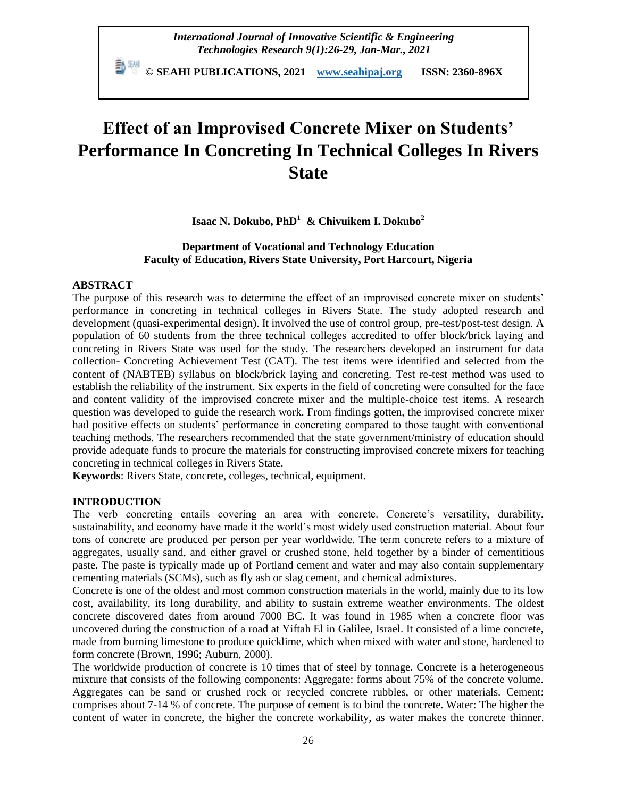**© SEAHI PUBLICATIONS, 2021 [www.seahipaj.org](http://www.seahipaj.org/) ISSN: 2360-896X**

# **Effect of an Improvised Concrete Mixer on Students' Performance In Concreting In Technical Colleges In Rivers State**

**Isaac N. Dokubo, PhD<sup>1</sup> & Chivuikem I. Dokubo<sup>2</sup>**

# **Department of Vocational and Technology Education Faculty of Education, Rivers State University, Port Harcourt, Nigeria**

# **ABSTRACT**

The purpose of this research was to determine the effect of an improvised concrete mixer on students' performance in concreting in technical colleges in Rivers State. The study adopted research and development (quasi-experimental design). It involved the use of control group, pre-test/post-test design. A population of 60 students from the three technical colleges accredited to offer block/brick laying and concreting in Rivers State was used for the study. The researchers developed an instrument for data collection- Concreting Achievement Test (CAT). The test items were identified and selected from the content of (NABTEB) syllabus on block/brick laying and concreting. Test re-test method was used to establish the reliability of the instrument. Six experts in the field of concreting were consulted for the face and content validity of the improvised concrete mixer and the multiple-choice test items. A research question was developed to guide the research work. From findings gotten, the improvised concrete mixer had positive effects on students' performance in concreting compared to those taught with conventional teaching methods. The researchers recommended that the state government/ministry of education should provide adequate funds to procure the materials for constructing improvised concrete mixers for teaching concreting in technical colleges in Rivers State.

**Keywords**: Rivers State, concrete, colleges, technical, equipment.

# **INTRODUCTION**

The verb concreting entails covering an area with concrete. Concrete's versatility, durability, sustainability, and economy have made it the world's most widely used construction material. About four tons of concrete are produced per person per year worldwide. The term concrete refers to a mixture of aggregates, usually sand, and either gravel or crushed stone, held together by a binder of cementitious paste. The paste is typically made up of Portland cement and water and may also contain supplementary cementing materials (SCMs), such as fly ash or slag cement, and chemical admixtures.

Concrete is one of the oldest and most common construction materials in the world, mainly due to its low cost, availability, its long durability, and ability to sustain extreme weather environments. The oldest concrete discovered dates from around 7000 BC. It was found in 1985 when a concrete floor was uncovered during the construction of a road at Yiftah El in Galilee, Israel. It consisted of a lime concrete, made from burning limestone to produce quicklime, which when mixed with water and stone, hardened to form concrete (Brown, 1996; Auburn, 2000).

The worldwide production of concrete is 10 times that of steel by tonnage. Concrete is a heterogeneous mixture that consists of the following components: Aggregate: forms about 75% of the concrete volume. Aggregates can be sand or crushed rock or recycled concrete rubbles, or other materials. Cement: comprises about 7-14 % of concrete. The purpose of cement is to bind the concrete. Water: The higher the content of water in concrete, the higher the concrete workability, as water makes the concrete thinner.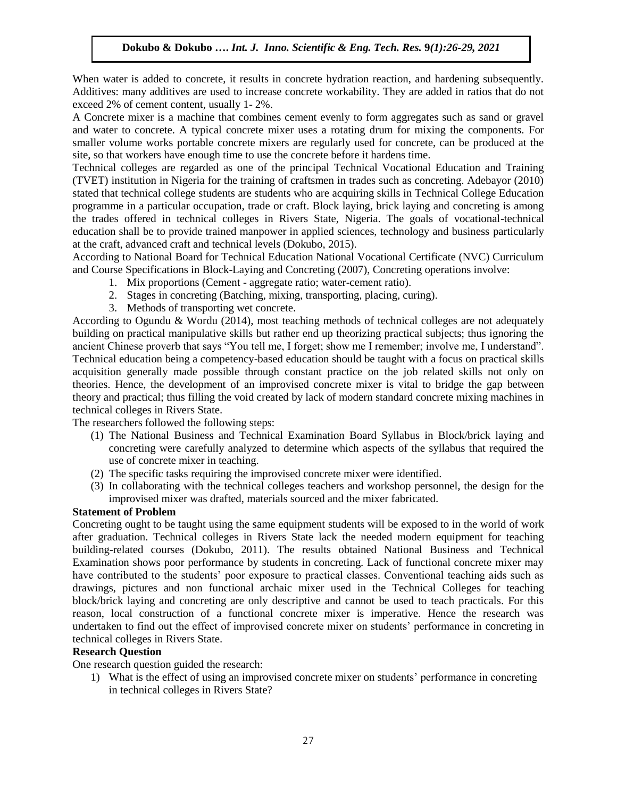# **Dokubo & Dokubo ….** *Int. J. Inno. Scientific & Eng. Tech. Res.* **9***(1):26-29, 2021*

When water is added to concrete, it results in concrete hydration reaction, and hardening subsequently. Additives: many additives are used to increase concrete workability. They are added in ratios that do not exceed 2% of cement content, usually 1- 2%.

A Concrete mixer is a machine that combines cement evenly to form aggregates such as sand or gravel and water to concrete. A typical concrete mixer uses a rotating drum for mixing the components. For smaller volume works portable concrete mixers are regularly used for concrete, can be produced at the site, so that workers have enough time to use the concrete before it hardens time.

Technical colleges are regarded as one of the principal Technical Vocational Education and Training (TVET) institution in Nigeria for the training of craftsmen in trades such as concreting. Adebayor (2010) stated that technical college students are students who are acquiring skills in Technical College Education programme in a particular occupation, trade or craft. Block laying, brick laying and concreting is among the trades offered in technical colleges in Rivers State, Nigeria. The goals of vocational-technical education shall be to provide trained manpower in applied sciences, technology and business particularly at the craft, advanced craft and technical levels (Dokubo, 2015).

According to National Board for Technical Education National Vocational Certificate (NVC) Curriculum and Course Specifications in Block-Laying and Concreting (2007), Concreting operations involve:

- 1. Mix proportions (Cement aggregate ratio; water-cement ratio).
- 2. Stages in concreting (Batching, mixing, transporting, placing, curing).
- 3. Methods of transporting wet concrete.

According to Ogundu & Wordu (2014), most teaching methods of technical colleges are not adequately building on practical manipulative skills but rather end up theorizing practical subjects; thus ignoring the ancient Chinese proverb that says "You tell me, I forget; show me I remember; involve me, I understand". Technical education being a competency-based education should be taught with a focus on practical skills acquisition generally made possible through constant practice on the job related skills not only on theories. Hence, the development of an improvised concrete mixer is vital to bridge the gap between theory and practical; thus filling the void created by lack of modern standard concrete mixing machines in technical colleges in Rivers State.

The researchers followed the following steps:

- (1) The National Business and Technical Examination Board Syllabus in Block/brick laying and concreting were carefully analyzed to determine which aspects of the syllabus that required the use of concrete mixer in teaching.
- (2) The specific tasks requiring the improvised concrete mixer were identified.
- (3) In collaborating with the technical colleges teachers and workshop personnel, the design for the improvised mixer was drafted, materials sourced and the mixer fabricated.

# **Statement of Problem**

Concreting ought to be taught using the same equipment students will be exposed to in the world of work after graduation. Technical colleges in Rivers State lack the needed modern equipment for teaching building-related courses (Dokubo, 2011). The results obtained National Business and Technical Examination shows poor performance by students in concreting. Lack of functional concrete mixer may have contributed to the students' poor exposure to practical classes. Conventional teaching aids such as drawings, pictures and non functional archaic mixer used in the Technical Colleges for teaching block/brick laying and concreting are only descriptive and cannot be used to teach practicals. For this reason, local construction of a functional concrete mixer is imperative. Hence the research was undertaken to find out the effect of improvised concrete mixer on students' performance in concreting in technical colleges in Rivers State.

# **Research Question**

One research question guided the research:

1) What is the effect of using an improvised concrete mixer on students' performance in concreting in technical colleges in Rivers State?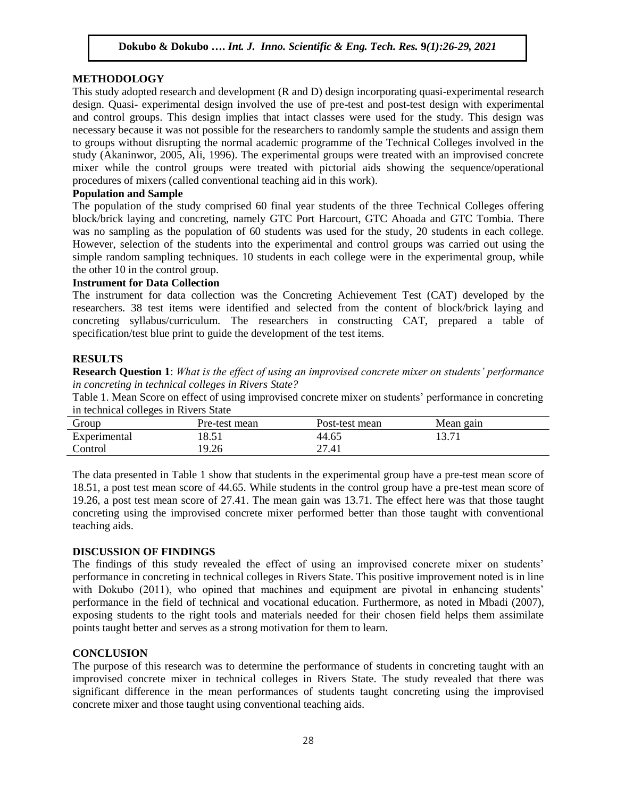#### **METHODOLOGY**

This study adopted research and development (R and D) design incorporating quasi-experimental research design. Quasi- experimental design involved the use of pre-test and post-test design with experimental and control groups. This design implies that intact classes were used for the study. This design was necessary because it was not possible for the researchers to randomly sample the students and assign them to groups without disrupting the normal academic programme of the Technical Colleges involved in the study (Akaninwor, 2005, Ali, 1996). The experimental groups were treated with an improvised concrete mixer while the control groups were treated with pictorial aids showing the sequence/operational procedures of mixers (called conventional teaching aid in this work).

#### **Population and Sample**

The population of the study comprised 60 final year students of the three Technical Colleges offering block/brick laying and concreting, namely GTC Port Harcourt, GTC Ahoada and GTC Tombia. There was no sampling as the population of 60 students was used for the study, 20 students in each college. However, selection of the students into the experimental and control groups was carried out using the simple random sampling techniques. 10 students in each college were in the experimental group, while the other 10 in the control group.

#### **Instrument for Data Collection**

The instrument for data collection was the Concreting Achievement Test (CAT) developed by the researchers. 38 test items were identified and selected from the content of block/brick laying and concreting syllabus/curriculum. The researchers in constructing CAT, prepared a table of specification/test blue print to guide the development of the test items.

#### **RESULTS**

**Research Question 1**: *What is the effect of using an improvised concrete mixer on students' performance in concreting in technical colleges in Rivers State?* 

Table 1. Mean Score on effect of using improvised concrete mixer on students' performance in concreting in technical colleges in Rivers State

| Group        | Pre-test mean | Post-test mean | Mean gain |
|--------------|---------------|----------------|-----------|
| Experimental | 18.51         | 44.65          | 13.71     |
| Control      | 9.26          | 27.41          |           |

The data presented in Table 1 show that students in the experimental group have a pre-test mean score of 18.51, a post test mean score of 44.65. While students in the control group have a pre-test mean score of 19.26, a post test mean score of 27.41. The mean gain was 13.71. The effect here was that those taught concreting using the improvised concrete mixer performed better than those taught with conventional teaching aids.

#### **DISCUSSION OF FINDINGS**

The findings of this study revealed the effect of using an improvised concrete mixer on students' performance in concreting in technical colleges in Rivers State. This positive improvement noted is in line with Dokubo (2011), who opined that machines and equipment are pivotal in enhancing students' performance in the field of technical and vocational education. Furthermore, as noted in Mbadi (2007), exposing students to the right tools and materials needed for their chosen field helps them assimilate points taught better and serves as a strong motivation for them to learn.

# **CONCLUSION**

The purpose of this research was to determine the performance of students in concreting taught with an improvised concrete mixer in technical colleges in Rivers State. The study revealed that there was significant difference in the mean performances of students taught concreting using the improvised concrete mixer and those taught using conventional teaching aids.